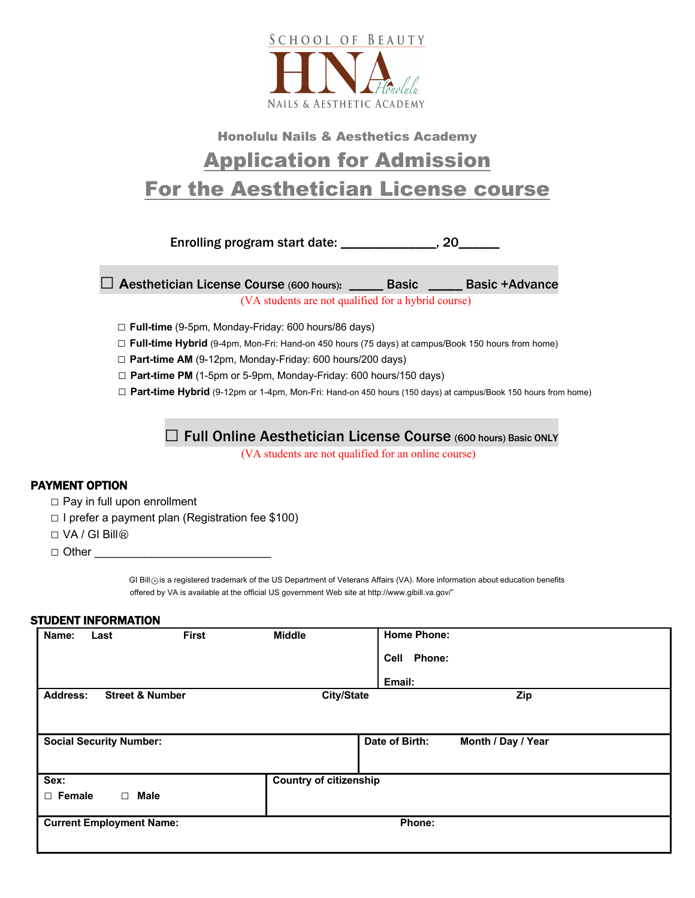

## Honolulu Nails & Aesthetics Academy Application for Admission For the Aesthetician License course

Enrolling program start date: \_\_\_\_\_\_\_\_\_\_\_\_\_\_, 20\_\_\_\_\_\_

 **□ <sup>A</sup>**esthetician License Course (600 hours): \_\_\_\_\_ Basic \_\_\_\_\_ Basic +Advance (VA students are not qualified for a hybrid course)

- **□ Full-time** (9-5pm, Monday-Friday: 600 hours/86 days)
- **□ Full-time Hybrid** (9-4pm, Mon-Fri: Hand-on 450 hours (75 days) at campus/Book 150 hours from home)
- **□ Part-time AM** (9-12pm, Monday-Friday: 600 hours/200 days)
- **□ Part-time PM** (1-5pm or 5-9pm, Monday-Friday: 600 hours/150 days)
- **□ Part-time Hybrid** (9-12pm or 1-4pm, Mon-Fri: Hand-on 450 hours (150 days) at campus/Book 150 hours from home)

## **□** Full Online Aesthetician License Course (600 hours) Basic ONLY

(VA students are not qualified for an online course)

## PAYMENT OPTION

- □ Pay in full upon enrollment
- **□** I prefer a payment plan (Registration fee \$100)
- □ VA / GI Bill<sup>®</sup>
- □ Other

GI Bill<sub><sup>(a)</sub> is a registered trademark of the US Department of Veterans Affairs (VA). More information about education benefits</sub></sup> offered by VA is available at the official US government Web site at http://www.gibill.va.gov/"

## STUDENT INFORMATION

| Name:                                         | Last                            | <b>First</b> | <b>Middle</b>     | <b>Home Phone:</b>            |                    |  |
|-----------------------------------------------|---------------------------------|--------------|-------------------|-------------------------------|--------------------|--|
|                                               |                                 |              |                   | Phone:<br>Cell                |                    |  |
|                                               |                                 |              |                   | Email:                        |                    |  |
| <b>Street &amp; Number</b><br><b>Address:</b> |                                 |              | <b>City/State</b> |                               | Zip                |  |
|                                               |                                 |              |                   |                               |                    |  |
|                                               | <b>Social Security Number:</b>  |              |                   | Date of Birth:                | Month / Day / Year |  |
|                                               |                                 |              |                   |                               |                    |  |
| Sex:                                          |                                 |              |                   | <b>Country of citizenship</b> |                    |  |
| $\Box$ Female                                 | $\Box$                          | <b>Male</b>  |                   |                               |                    |  |
|                                               | <b>Current Employment Name:</b> |              |                   | Phone:                        |                    |  |
|                                               |                                 |              |                   |                               |                    |  |